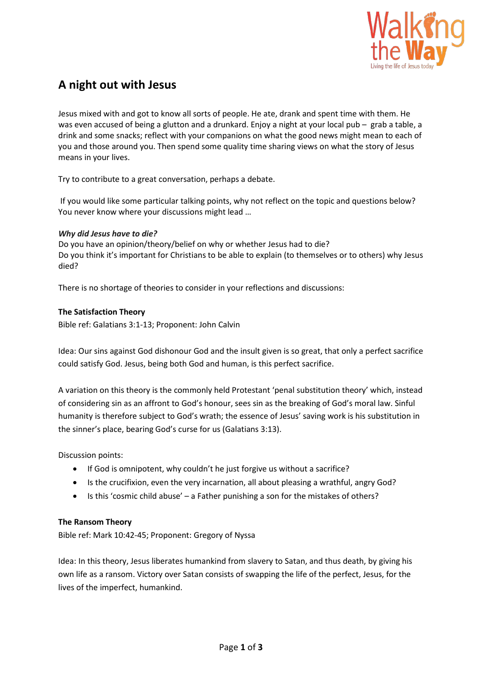

# **A night out with Jesus**

Jesus mixed with and got to know all sorts of people. He ate, drank and spent time with them. He was even accused of being a glutton and a drunkard. Enjoy a night at your local pub – grab a table, a drink and some snacks; reflect with your companions on what the good news might mean to each of you and those around you. Then spend some quality time sharing views on what the story of Jesus means in your lives.

Try to contribute to a great conversation, perhaps a debate.

If you would like some particular talking points, why not reflect on the topic and questions below? You never know where your discussions might lead …

# *Why did Jesus have to die?*

Do you have an opinion/theory/belief on why or whether Jesus had to die? Do you think it's important for Christians to be able to explain (to themselves or to others) why Jesus died?

There is no shortage of theories to consider in your reflections and discussions:

# **The Satisfaction Theory**

Bible ref: Galatians 3:1-13; Proponent: John Calvin

Idea: Our sins against God dishonour God and the insult given is so great, that only a perfect sacrifice could satisfy God. Jesus, being both God and human, is this perfect sacrifice.

A variation on this theory is the commonly held Protestant 'penal substitution theory' which, instead of considering sin as an affront to God's honour, sees sin as the breaking of God's moral law. Sinful humanity is therefore subject to God's wrath; the essence of Jesus' saving work is his substitution in the sinner's place, bearing God's curse for us (Galatians 3:13).

Discussion points:

- If God is omnipotent, why couldn't he just forgive us without a sacrifice?
- Is the crucifixion, even the very incarnation, all about pleasing a wrathful, angry God?
- Is this 'cosmic child abuse' a Father punishing a son for the mistakes of others?

### **The Ransom Theory**

Bible ref: Mark 10:42-45; Proponent: Gregory of Nyssa

Idea: In this theory, Jesus liberates humankind from slavery to Satan, and thus death, by giving his own life as a ransom. Victory over Satan consists of swapping the life of the perfect, Jesus, for the lives of the imperfect, humankind.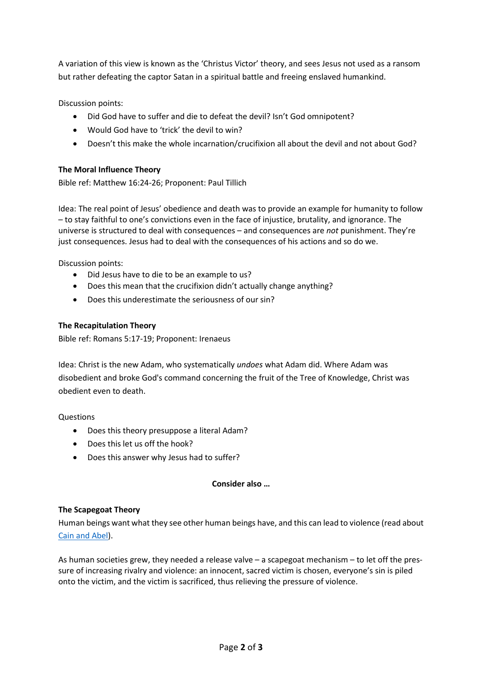A variation of this view is known as the 'Christus Victor' theory, and sees Jesus not used as a ransom but rather defeating the captor Satan in a spiritual battle and freeing enslaved humankind.

Discussion points:

- Did God have to suffer and die to defeat the devil? Isn't God omnipotent?
- Would God have to 'trick' the devil to win?
- Doesn't this make the whole incarnation/crucifixion all about the devil and not about God?

# **The Moral Influence Theory**

Bible ref: Matthew 16:24-26; Proponent: Paul Tillich

Idea: The real point of Jesus' obedience and death was to provide an example for humanity to follow – to stay faithful to one's convictions even in the face of injustice, brutality, and ignorance. The universe is structured to deal with consequences – and consequences are *not* punishment. They're just consequences. Jesus had to deal with the consequences of his actions and so do we.

Discussion points:

- Did Jesus have to die to be an example to us?
- Does this mean that the crucifixion didn't actually change anything?
- Does this underestimate the seriousness of our sin?

# **The Recapitulation Theory**

Bible ref: Romans 5:17-19; Proponent: Irenaeus

Idea: Christ is the new Adam, who systematically *undoes* what Adam did. Where Adam was disobedient and broke God's command concerning the fruit of the Tree of Knowledge, Christ was obedient even to death.

**Questions** 

- Does this theory presuppose a literal Adam?
- Does this let us off the hook?
- Does this answer why Jesus had to suffer?

### **Consider also …**

### **The Scapegoat Theory**

Human beings want what they see other human beings have, and this can lead to violence (read about [Cain and Abel\)](https://www.biblegateway.com/passage/?search=Genesis+4).

As human societies grew, they needed a release valve – a scapegoat mechanism – to let off the pressure of increasing rivalry and violence: an innocent, sacred victim is chosen, everyone's sin is piled onto the victim, and the victim is sacrificed, thus relieving the pressure of violence.